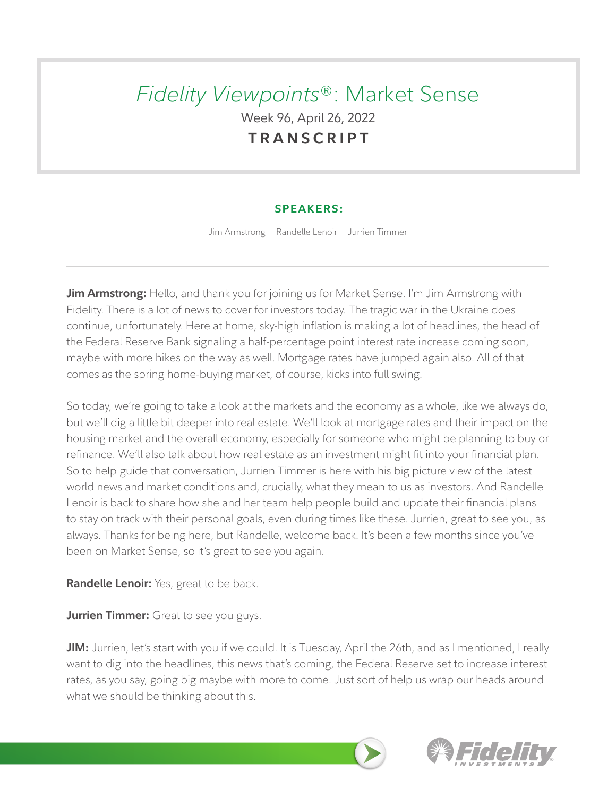# *Fidelity Viewpoints*®: Market Sense Week 96, April 26, 2022 **TRANSCRIPT**

# **SPEAKERS:**

Jim Armstrong Randelle Lenoir Jurrien Timmer

**Jim Armstrong:** Hello, and thank you for joining us for Market Sense. I'm Jim Armstrong with Fidelity. There is a lot of news to cover for investors today. The tragic war in the Ukraine does continue, unfortunately. Here at home, sky-high inflation is making a lot of headlines, the head of the Federal Reserve Bank signaling a half-percentage point interest rate increase coming soon, maybe with more hikes on the way as well. Mortgage rates have jumped again also. All of that comes as the spring home-buying market, of course, kicks into full swing.

So today, we're going to take a look at the markets and the economy as a whole, like we always do, but we'll dig a little bit deeper into real estate. We'll look at mortgage rates and their impact on the housing market and the overall economy, especially for someone who might be planning to buy or refinance. We'll also talk about how real estate as an investment might fit into your financial plan. So to help guide that conversation, Jurrien Timmer is here with his big picture view of the latest world news and market conditions and, crucially, what they mean to us as investors. And Randelle Lenoir is back to share how she and her team help people build and update their financial plans to stay on track with their personal goals, even during times like these. Jurrien, great to see you, as always. Thanks for being here, but Randelle, welcome back. It's been a few months since you've been on Market Sense, so it's great to see you again.

**Randelle Lenoir:** Yes, great to be back.

**Jurrien Timmer:** Great to see you guys.

**JIM:** Jurrien, let's start with you if we could. It is Tuesday, April the 26th, and as I mentioned, I really want to dig into the headlines, this news that's coming, the Federal Reserve set to increase interest rates, as you say, going big maybe with more to come. Just sort of help us wrap our heads around what we should be thinking about this.

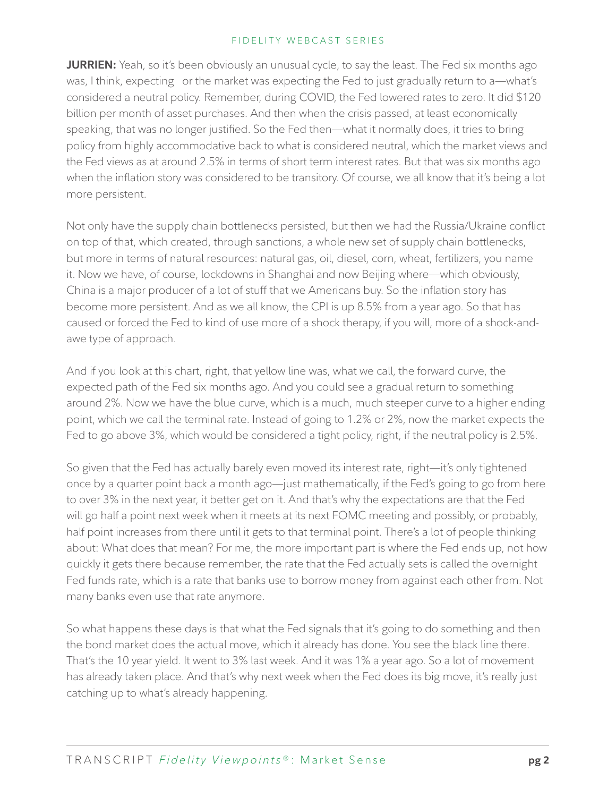**JURRIEN:** Yeah, so it's been obviously an unusual cycle, to say the least. The Fed six months ago was, I think, expecting or the market was expecting the Fed to just gradually return to a—what's considered a neutral policy. Remember, during COVID, the Fed lowered rates to zero. It did \$120 billion per month of asset purchases. And then when the crisis passed, at least economically speaking, that was no longer justified. So the Fed then—what it normally does, it tries to bring policy from highly accommodative back to what is considered neutral, which the market views and the Fed views as at around 2.5% in terms of short term interest rates. But that was six months ago when the inflation story was considered to be transitory. Of course, we all know that it's being a lot more persistent.

Not only have the supply chain bottlenecks persisted, but then we had the Russia/Ukraine conflict on top of that, which created, through sanctions, a whole new set of supply chain bottlenecks, but more in terms of natural resources: natural gas, oil, diesel, corn, wheat, fertilizers, you name it. Now we have, of course, lockdowns in Shanghai and now Beijing where—which obviously, China is a major producer of a lot of stuff that we Americans buy. So the inflation story has become more persistent. And as we all know, the CPI is up 8.5% from a year ago. So that has caused or forced the Fed to kind of use more of a shock therapy, if you will, more of a shock-andawe type of approach.

And if you look at this chart, right, that yellow line was, what we call, the forward curve, the expected path of the Fed six months ago. And you could see a gradual return to something around 2%. Now we have the blue curve, which is a much, much steeper curve to a higher ending point, which we call the terminal rate. Instead of going to 1.2% or 2%, now the market expects the Fed to go above 3%, which would be considered a tight policy, right, if the neutral policy is 2.5%.

So given that the Fed has actually barely even moved its interest rate, right—it's only tightened once by a quarter point back a month ago—just mathematically, if the Fed's going to go from here to over 3% in the next year, it better get on it. And that's why the expectations are that the Fed will go half a point next week when it meets at its next FOMC meeting and possibly, or probably, half point increases from there until it gets to that terminal point. There's a lot of people thinking about: What does that mean? For me, the more important part is where the Fed ends up, not how quickly it gets there because remember, the rate that the Fed actually sets is called the overnight Fed funds rate, which is a rate that banks use to borrow money from against each other from. Not many banks even use that rate anymore.

So what happens these days is that what the Fed signals that it's going to do something and then the bond market does the actual move, which it already has done. You see the black line there. That's the 10 year yield. It went to 3% last week. And it was 1% a year ago. So a lot of movement has already taken place. And that's why next week when the Fed does its big move, it's really just catching up to what's already happening.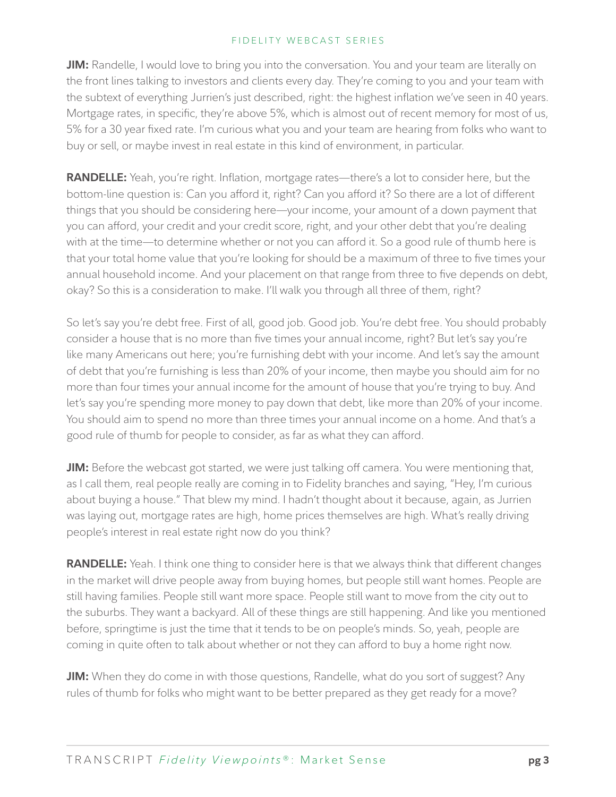**JIM:** Randelle, I would love to bring you into the conversation. You and your team are literally on the front lines talking to investors and clients every day. They're coming to you and your team with the subtext of everything Jurrien's just described, right: the highest inflation we've seen in 40 years. Mortgage rates, in specific, they're above 5%, which is almost out of recent memory for most of us, 5% for a 30 year fixed rate. I'm curious what you and your team are hearing from folks who want to buy or sell, or maybe invest in real estate in this kind of environment, in particular.

**RANDELLE:** Yeah, you're right. Inflation, mortgage rates—there's a lot to consider here, but the bottom-line question is: Can you afford it, right? Can you afford it? So there are a lot of different things that you should be considering here—your income, your amount of a down payment that you can afford, your credit and your credit score, right, and your other debt that you're dealing with at the time—to determine whether or not you can afford it. So a good rule of thumb here is that your total home value that you're looking for should be a maximum of three to five times your annual household income. And your placement on that range from three to five depends on debt, okay? So this is a consideration to make. I'll walk you through all three of them, right?

So let's say you're debt free. First of all, good job. Good job. You're debt free. You should probably consider a house that is no more than five times your annual income, right? But let's say you're like many Americans out here; you're furnishing debt with your income. And let's say the amount of debt that you're furnishing is less than 20% of your income, then maybe you should aim for no more than four times your annual income for the amount of house that you're trying to buy. And let's say you're spending more money to pay down that debt, like more than 20% of your income. You should aim to spend no more than three times your annual income on a home. And that's a good rule of thumb for people to consider, as far as what they can afford.

**JIM:** Before the webcast got started, we were just talking off camera. You were mentioning that, as I call them, real people really are coming in to Fidelity branches and saying, "Hey, I'm curious about buying a house." That blew my mind. I hadn't thought about it because, again, as Jurrien was laying out, mortgage rates are high, home prices themselves are high. What's really driving people's interest in real estate right now do you think?

**RANDELLE:** Yeah. I think one thing to consider here is that we always think that different changes in the market will drive people away from buying homes, but people still want homes. People are still having families. People still want more space. People still want to move from the city out to the suburbs. They want a backyard. All of these things are still happening. And like you mentioned before, springtime is just the time that it tends to be on people's minds. So, yeah, people are coming in quite often to talk about whether or not they can afford to buy a home right now.

**JIM:** When they do come in with those questions, Randelle, what do you sort of suggest? Any rules of thumb for folks who might want to be better prepared as they get ready for a move?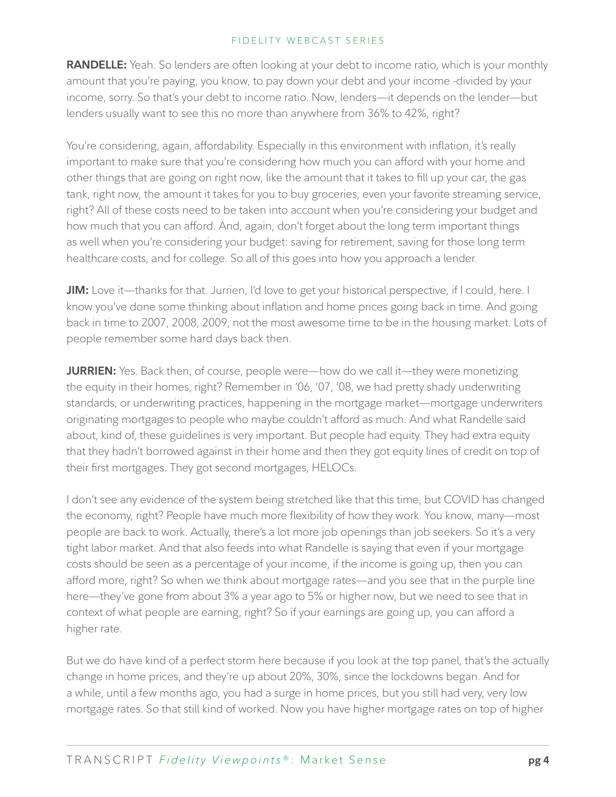**RANDELLE:** Yeah. So lenders are often looking at your debt to income ratio, which is your monthly amount that you're paying, you know, to pay down your debt and your income -divided by your income, sorry. So that's your debt to income ratio. Now, lenders—it depends on the lender—but lenders usually want to see this no more than anywhere from 36% to 42%, right?

You're considering, again, affordability. Especially in this environment with inflation, it's really important to make sure that you're considering how much you can afford with your home and other things that are going on right now, like the amount that it takes to fill up your car, the gas tank, right now, the amount it takes for you to buy groceries, even your favorite streaming service, right? All of these costs need to be taken into account when you're considering your budget and how much that you can afford. And, again, don't forget about the long term important things as well when you're considering your budget: saving for retirement, saving for those long term healthcare costs, and for college. So all of this goes into how you approach a lender.

**JIM:** Love it—thanks for that. Jurrien, I'd love to get your historical perspective, if I could, here. I know you've done some thinking about inflation and home prices going back in time. And going back in time to 2007, 2008, 2009, not the most awesome time to be in the housing market. Lots of people remember some hard days back then.

**JURRIEN:** Yes. Back then, of course, people were—how do we call it—they were monetizing the equity in their homes, right? Remember in '06, '07, '08, we had pretty shady underwriting standards, or underwriting practices, happening in the mortgage market—mortgage underwriters originating mortgages to people who maybe couldn't afford as much. And what Randelle said about, kind of, these guidelines is very important. But people had equity. They had extra equity that they hadn't borrowed against in their home and then they got equity lines of credit on top of their first mortgages. They got second mortgages, HELOCs.

I don't see any evidence of the system being stretched like that this time, but COVID has changed the economy, right? People have much more flexibility of how they work. You know, many—most people are back to work. Actually, there's a lot more job openings than job seekers. So it's a very tight labor market. And that also feeds into what Randelle is saying that even if your mortgage costs should be seen as a percentage of your income, if the income is going up, then you can afford more, right? So when we think about mortgage rates—and you see that in the purple line here—they've gone from about 3% a year ago to 5% or higher now, but we need to see that in context of what people are earning, right? So if your earnings are going up, you can afford a higher rate.

But we do have kind of a perfect storm here because if you look at the top panel, that's the actually change in home prices, and they're up about 20%, 30%, since the lockdowns began. And for a while, until a few months ago, you had a surge in home prices, but you still had very, very low mortgage rates. So that still kind of worked. Now you have higher mortgage rates on top of higher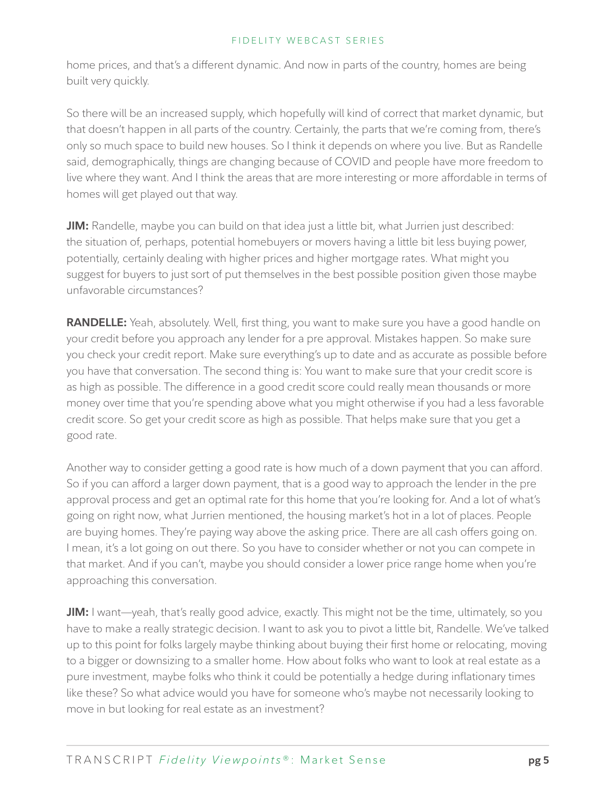home prices, and that's a different dynamic. And now in parts of the country, homes are being built very quickly.

So there will be an increased supply, which hopefully will kind of correct that market dynamic, but that doesn't happen in all parts of the country. Certainly, the parts that we're coming from, there's only so much space to build new houses. So I think it depends on where you live. But as Randelle said, demographically, things are changing because of COVID and people have more freedom to live where they want. And I think the areas that are more interesting or more affordable in terms of homes will get played out that way.

**JIM:** Randelle, maybe you can build on that idea just a little bit, what Jurrien just described: the situation of, perhaps, potential homebuyers or movers having a little bit less buying power, potentially, certainly dealing with higher prices and higher mortgage rates. What might you suggest for buyers to just sort of put themselves in the best possible position given those maybe unfavorable circumstances?

**RANDELLE:** Yeah, absolutely. Well, first thing, you want to make sure you have a good handle on your credit before you approach any lender for a pre approval. Mistakes happen. So make sure you check your credit report. Make sure everything's up to date and as accurate as possible before you have that conversation. The second thing is: You want to make sure that your credit score is as high as possible. The difference in a good credit score could really mean thousands or more money over time that you're spending above what you might otherwise if you had a less favorable credit score. So get your credit score as high as possible. That helps make sure that you get a good rate.

Another way to consider getting a good rate is how much of a down payment that you can afford. So if you can afford a larger down payment, that is a good way to approach the lender in the pre approval process and get an optimal rate for this home that you're looking for. And a lot of what's going on right now, what Jurrien mentioned, the housing market's hot in a lot of places. People are buying homes. They're paying way above the asking price. There are all cash offers going on. I mean, it's a lot going on out there. So you have to consider whether or not you can compete in that market. And if you can't, maybe you should consider a lower price range home when you're approaching this conversation.

**JIM:** I want—yeah, that's really good advice, exactly. This might not be the time, ultimately, so you have to make a really strategic decision. I want to ask you to pivot a little bit, Randelle. We've talked up to this point for folks largely maybe thinking about buying their first home or relocating, moving to a bigger or downsizing to a smaller home. How about folks who want to look at real estate as a pure investment, maybe folks who think it could be potentially a hedge during inflationary times like these? So what advice would you have for someone who's maybe not necessarily looking to move in but looking for real estate as an investment?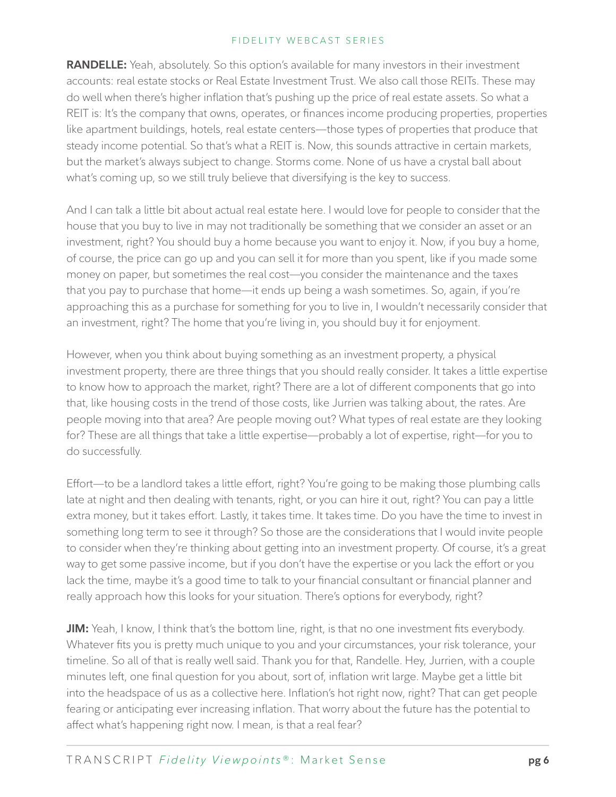**RANDELLE:** Yeah, absolutely. So this option's available for many investors in their investment accounts: real estate stocks or Real Estate Investment Trust. We also call those REITs. These may do well when there's higher inflation that's pushing up the price of real estate assets. So what a REIT is: It's the company that owns, operates, or finances income producing properties, properties like apartment buildings, hotels, real estate centers—those types of properties that produce that steady income potential. So that's what a REIT is. Now, this sounds attractive in certain markets, but the market's always subject to change. Storms come. None of us have a crystal ball about what's coming up, so we still truly believe that diversifying is the key to success.

And I can talk a little bit about actual real estate here. I would love for people to consider that the house that you buy to live in may not traditionally be something that we consider an asset or an investment, right? You should buy a home because you want to enjoy it. Now, if you buy a home, of course, the price can go up and you can sell it for more than you spent, like if you made some money on paper, but sometimes the real cost—you consider the maintenance and the taxes that you pay to purchase that home—it ends up being a wash sometimes. So, again, if you're approaching this as a purchase for something for you to live in, I wouldn't necessarily consider that an investment, right? The home that you're living in, you should buy it for enjoyment.

However, when you think about buying something as an investment property, a physical investment property, there are three things that you should really consider. It takes a little expertise to know how to approach the market, right? There are a lot of different components that go into that, like housing costs in the trend of those costs, like Jurrien was talking about, the rates. Are people moving into that area? Are people moving out? What types of real estate are they looking for? These are all things that take a little expertise—probably a lot of expertise, right—for you to do successfully.

Effort—to be a landlord takes a little effort, right? You're going to be making those plumbing calls late at night and then dealing with tenants, right, or you can hire it out, right? You can pay a little extra money, but it takes effort. Lastly, it takes time. It takes time. Do you have the time to invest in something long term to see it through? So those are the considerations that I would invite people to consider when they're thinking about getting into an investment property. Of course, it's a great way to get some passive income, but if you don't have the expertise or you lack the effort or you lack the time, maybe it's a good time to talk to your financial consultant or financial planner and really approach how this looks for your situation. There's options for everybody, right?

**JIM:** Yeah, I know, I think that's the bottom line, right, is that no one investment fits everybody. Whatever fits you is pretty much unique to you and your circumstances, your risk tolerance, your timeline. So all of that is really well said. Thank you for that, Randelle. Hey, Jurrien, with a couple minutes left, one final question for you about, sort of, inflation writ large. Maybe get a little bit into the headspace of us as a collective here. Inflation's hot right now, right? That can get people fearing or anticipating ever increasing inflation. That worry about the future has the potential to affect what's happening right now. I mean, is that a real fear?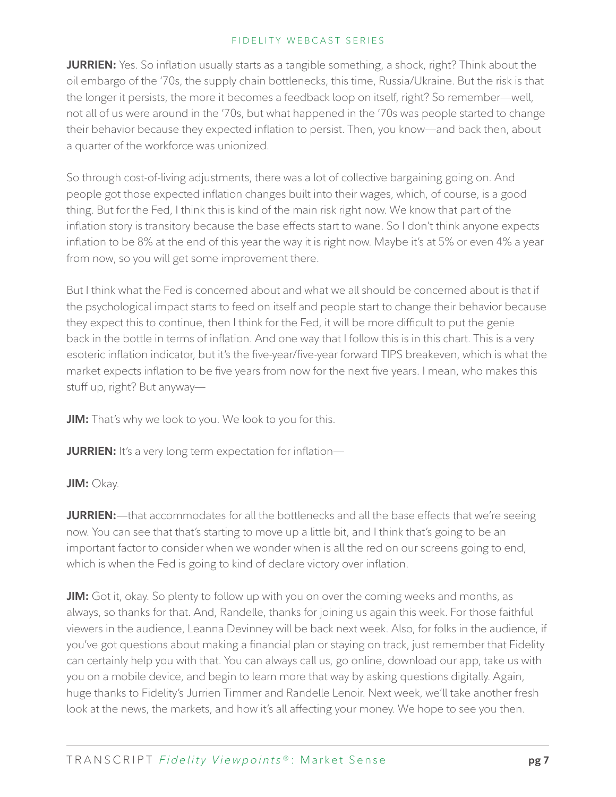**JURRIEN:** Yes. So inflation usually starts as a tangible something, a shock, right? Think about the oil embargo of the '70s, the supply chain bottlenecks, this time, Russia/Ukraine. But the risk is that the longer it persists, the more it becomes a feedback loop on itself, right? So remember—well, not all of us were around in the '70s, but what happened in the '70s was people started to change their behavior because they expected inflation to persist. Then, you know—and back then, about a quarter of the workforce was unionized.

So through cost-of-living adjustments, there was a lot of collective bargaining going on. And people got those expected inflation changes built into their wages, which, of course, is a good thing. But for the Fed, I think this is kind of the main risk right now. We know that part of the inflation story is transitory because the base effects start to wane. So I don't think anyone expects inflation to be 8% at the end of this year the way it is right now. Maybe it's at 5% or even 4% a year from now, so you will get some improvement there.

But I think what the Fed is concerned about and what we all should be concerned about is that if the psychological impact starts to feed on itself and people start to change their behavior because they expect this to continue, then I think for the Fed, it will be more difficult to put the genie back in the bottle in terms of inflation. And one way that I follow this is in this chart. This is a very esoteric inflation indicator, but it's the five-year/five-year forward TIPS breakeven, which is what the market expects inflation to be five years from now for the next five years. I mean, who makes this stuff up, right? But anyway—

**JIM:** That's why we look to you. We look to you for this.

**JURRIEN:** It's a very long term expectation for inflation—

# **JIM:** Okay.

**JURRIEN:**—that accommodates for all the bottlenecks and all the base effects that we're seeing now. You can see that that's starting to move up a little bit, and I think that's going to be an important factor to consider when we wonder when is all the red on our screens going to end, which is when the Fed is going to kind of declare victory over inflation.

**JIM:** Got it, okay. So plenty to follow up with you on over the coming weeks and months, as always, so thanks for that. And, Randelle, thanks for joining us again this week. For those faithful viewers in the audience, Leanna Devinney will be back next week. Also, for folks in the audience, if you've got questions about making a financial plan or staying on track, just remember that Fidelity can certainly help you with that. You can always call us, go online, download our app, take us with you on a mobile device, and begin to learn more that way by asking questions digitally. Again, huge thanks to Fidelity's Jurrien Timmer and Randelle Lenoir. Next week, we'll take another fresh look at the news, the markets, and how it's all affecting your money. We hope to see you then.